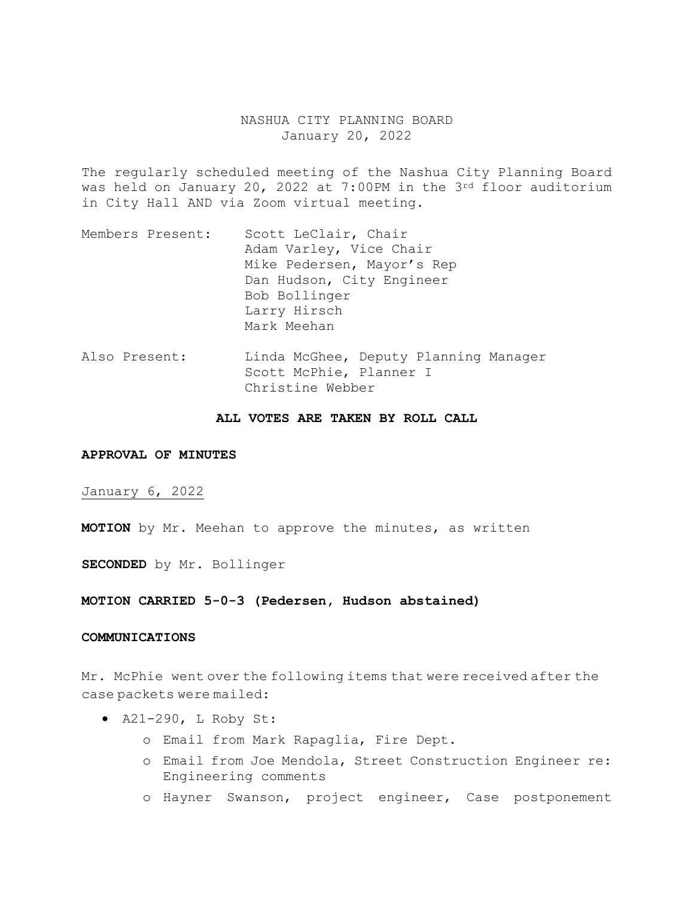# NASHUA CITY PLANNING BOARD January 20, 2022

The regularly scheduled meeting of the Nashua City Planning Board was held on January 20, 2022 at 7:00PM in the 3rd floor auditorium in City Hall AND via Zoom virtual meeting.

- Members Present: Scott LeClair, Chair Adam Varley, Vice Chair Mike Pedersen, Mayor's Rep Dan Hudson, City Engineer Bob Bollinger Larry Hirsch Mark Meehan
- Also Present: Linda McGhee, Deputy Planning Manager Scott McPhie, Planner I Christine Webber

## **ALL VOTES ARE TAKEN BY ROLL CALL**

### **APPROVAL OF MINUTES**

January 6, 2022

**MOTION** by Mr. Meehan to approve the minutes, as written

**SECONDED** by Mr. Bollinger

**MOTION CARRIED 5-0-3 (Pedersen, Hudson abstained)** 

### **COMMUNICATIONS**

Mr. McPhie went over the following items that were received after the case packets were mailed:

- A21-290, L Roby St:
	- o Email from Mark Rapaglia, Fire Dept.
	- o Email from Joe Mendola, Street Construction Engineer re: Engineering comments
	- o Hayner Swanson, project engineer, Case postponement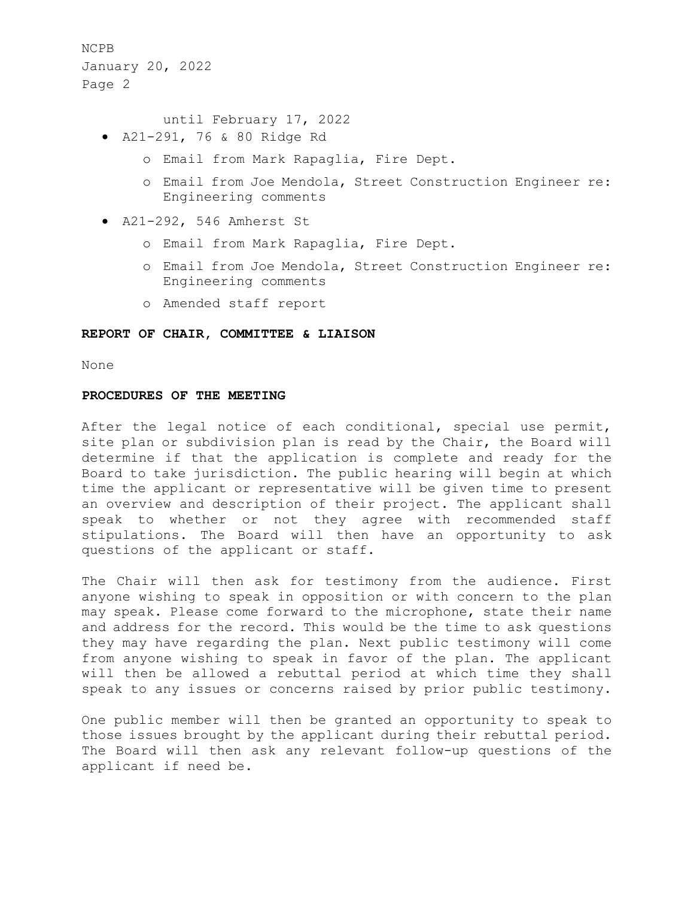until February 17, 2022

- A21-291, 76 & 80 Ridge Rd
	- o Email from Mark Rapaglia, Fire Dept.
	- o Email from Joe Mendola, Street Construction Engineer re: Engineering comments
- A21-292, 546 Amherst St
	- o Email from Mark Rapaglia, Fire Dept.
	- o Email from Joe Mendola, Street Construction Engineer re: Engineering comments
	- o Amended staff report

## **REPORT OF CHAIR, COMMITTEE & LIAISON**

None

#### **PROCEDURES OF THE MEETING**

After the legal notice of each conditional, special use permit, site plan or subdivision plan is read by the Chair, the Board will determine if that the application is complete and ready for the Board to take jurisdiction. The public hearing will begin at which time the applicant or representative will be given time to present an overview and description of their project. The applicant shall speak to whether or not they agree with recommended staff stipulations. The Board will then have an opportunity to ask questions of the applicant or staff.

The Chair will then ask for testimony from the audience. First anyone wishing to speak in opposition or with concern to the plan may speak. Please come forward to the microphone, state their name and address for the record. This would be the time to ask questions they may have regarding the plan. Next public testimony will come from anyone wishing to speak in favor of the plan. The applicant will then be allowed a rebuttal period at which time they shall speak to any issues or concerns raised by prior public testimony.

One public member will then be granted an opportunity to speak to those issues brought by the applicant during their rebuttal period. The Board will then ask any relevant follow-up questions of the applicant if need be.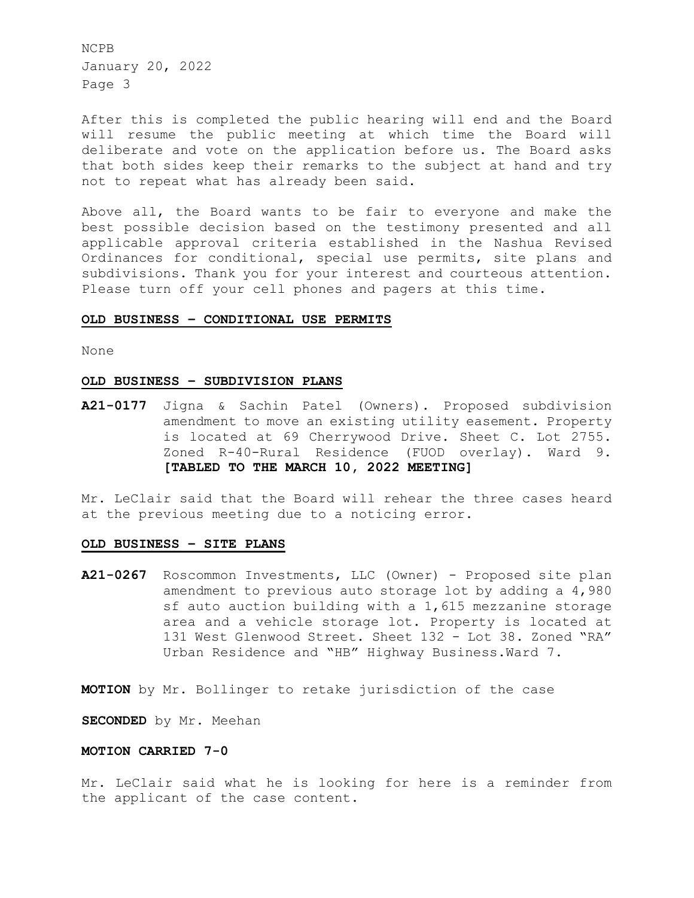After this is completed the public hearing will end and the Board will resume the public meeting at which time the Board will deliberate and vote on the application before us. The Board asks that both sides keep their remarks to the subject at hand and try not to repeat what has already been said.

Above all, the Board wants to be fair to everyone and make the best possible decision based on the testimony presented and all applicable approval criteria established in the Nashua Revised Ordinances for conditional, special use permits, site plans and subdivisions. Thank you for your interest and courteous attention. Please turn off your cell phones and pagers at this time.

#### **OLD BUSINESS – CONDITIONAL USE PERMITS**

None

### **OLD BUSINESS – SUBDIVISION PLANS**

**A21-0177** Jigna & Sachin Patel (Owners). Proposed subdivision amendment to move an existing utility easement. Property is located at 69 Cherrywood Drive. Sheet C. Lot 2755. Zoned R-40-Rural Residence (FUOD overlay). Ward 9. **[TABLED TO THE MARCH 10, 2022 MEETING]** 

Mr. LeClair said that the Board will rehear the three cases heard at the previous meeting due to a noticing error.

#### **OLD BUSINESS – SITE PLANS**

**A21-0267** Roscommon Investments, LLC (Owner) - Proposed site plan amendment to previous auto storage lot by adding a 4,980 sf auto auction building with a 1,615 mezzanine storage area and a vehicle storage lot. Property is located at 131 West Glenwood Street. Sheet 132 - Lot 38. Zoned "RA" Urban Residence and "HB" Highway Business.Ward 7.

**MOTION** by Mr. Bollinger to retake jurisdiction of the case

**SECONDED** by Mr. Meehan

### **MOTION CARRIED 7-0**

Mr. LeClair said what he is looking for here is a reminder from the applicant of the case content.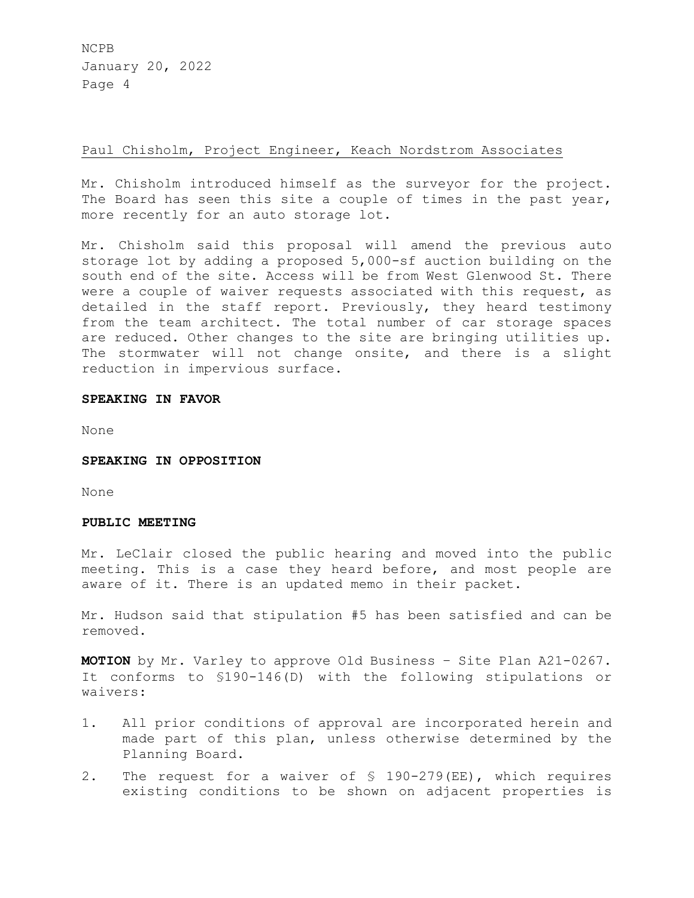# Paul Chisholm, Project Engineer, Keach Nordstrom Associates

Mr. Chisholm introduced himself as the surveyor for the project. The Board has seen this site a couple of times in the past year, more recently for an auto storage lot.

Mr. Chisholm said this proposal will amend the previous auto storage lot by adding a proposed 5,000-sf auction building on the south end of the site. Access will be from West Glenwood St. There were a couple of waiver requests associated with this request, as detailed in the staff report. Previously, they heard testimony from the team architect. The total number of car storage spaces are reduced. Other changes to the site are bringing utilities up. The stormwater will not change onsite, and there is a slight reduction in impervious surface.

## **SPEAKING IN FAVOR**

None

**SPEAKING IN OPPOSITION** 

None

### **PUBLIC MEETING**

Mr. LeClair closed the public hearing and moved into the public meeting. This is a case they heard before, and most people are aware of it. There is an updated memo in their packet.

Mr. Hudson said that stipulation #5 has been satisfied and can be removed.

**MOTION** by Mr. Varley to approve Old Business – Site Plan A21-0267. It conforms to §190-146(D) with the following stipulations or waivers:

- 1. All prior conditions of approval are incorporated herein and made part of this plan, unless otherwise determined by the Planning Board.
- 2. The request for a waiver of § 190-279(EE), which requires existing conditions to be shown on adjacent properties is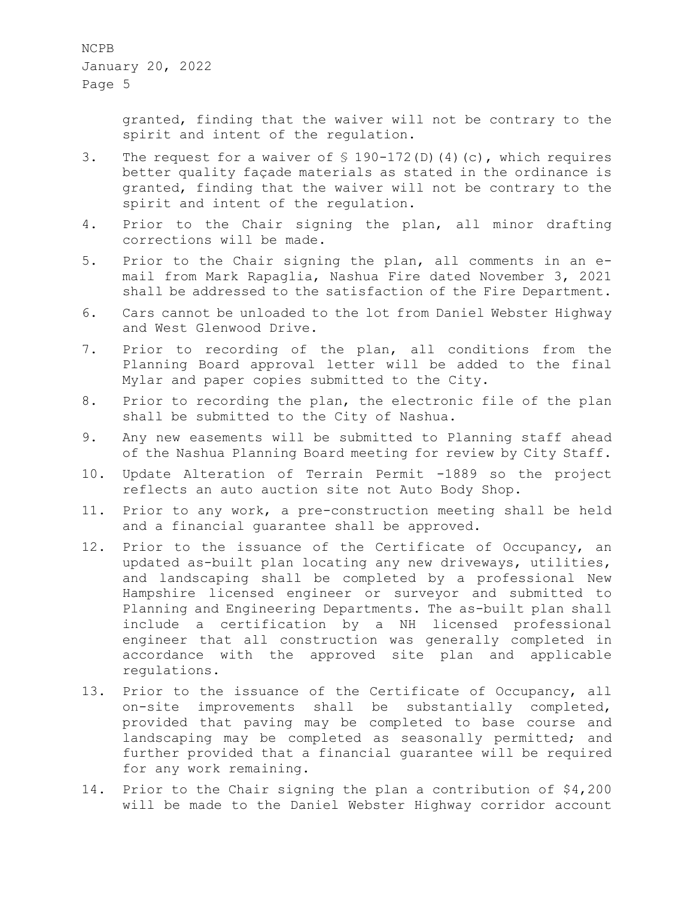> granted, finding that the waiver will not be contrary to the spirit and intent of the regulation.

- 3. The request for a waiver of § 190-172(D)(4)(c), which requires better quality façade materials as stated in the ordinance is granted, finding that the waiver will not be contrary to the spirit and intent of the regulation.
- 4. Prior to the Chair signing the plan, all minor drafting corrections will be made.
- 5. Prior to the Chair signing the plan, all comments in an email from Mark Rapaglia, Nashua Fire dated November 3, 2021 shall be addressed to the satisfaction of the Fire Department.
- 6. Cars cannot be unloaded to the lot from Daniel Webster Highway and West Glenwood Drive.
- 7. Prior to recording of the plan, all conditions from the Planning Board approval letter will be added to the final Mylar and paper copies submitted to the City.
- 8. Prior to recording the plan, the electronic file of the plan shall be submitted to the City of Nashua.
- 9. Any new easements will be submitted to Planning staff ahead of the Nashua Planning Board meeting for review by City Staff.
- 10. Update Alteration of Terrain Permit -1889 so the project reflects an auto auction site not Auto Body Shop.
- 11. Prior to any work, a pre-construction meeting shall be held and a financial guarantee shall be approved.
- 12. Prior to the issuance of the Certificate of Occupancy, an updated as-built plan locating any new driveways, utilities, and landscaping shall be completed by a professional New Hampshire licensed engineer or surveyor and submitted to Planning and Engineering Departments. The as-built plan shall include a certification by a NH licensed professional engineer that all construction was generally completed in accordance with the approved site plan and applicable regulations.
- 13. Prior to the issuance of the Certificate of Occupancy, all on-site improvements shall be substantially completed, provided that paving may be completed to base course and landscaping may be completed as seasonally permitted; and further provided that a financial guarantee will be required for any work remaining.
- 14. Prior to the Chair signing the plan a contribution of \$4,200 will be made to the Daniel Webster Highway corridor account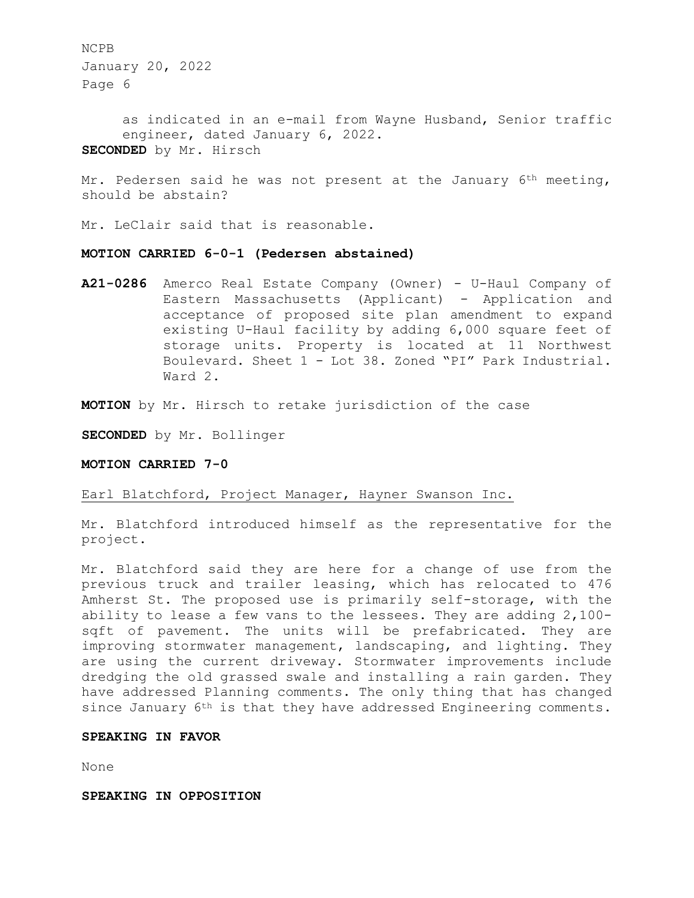as indicated in an e-mail from Wayne Husband, Senior traffic engineer, dated January 6, 2022. **SECONDED** by Mr. Hirsch

Mr. Pedersen said he was not present at the January  $6<sup>th</sup>$  meeting, should be abstain?

Mr. LeClair said that is reasonable.

## **MOTION CARRIED 6-0-1 (Pedersen abstained)**

**A21-0286** Amerco Real Estate Company (Owner) - U-Haul Company of Eastern Massachusetts (Applicant) - Application and acceptance of proposed site plan amendment to expand existing U-Haul facility by adding 6,000 square feet of storage units. Property is located at 11 Northwest Boulevard. Sheet 1 - Lot 38. Zoned "PI" Park Industrial. Ward 2.

**MOTION** by Mr. Hirsch to retake jurisdiction of the case

**SECONDED** by Mr. Bollinger

**MOTION CARRIED 7-0** 

Earl Blatchford, Project Manager, Hayner Swanson Inc.

Mr. Blatchford introduced himself as the representative for the project.

Mr. Blatchford said they are here for a change of use from the previous truck and trailer leasing, which has relocated to 476 Amherst St. The proposed use is primarily self-storage, with the ability to lease a few vans to the lessees. They are adding 2,100 sqft of pavement. The units will be prefabricated. They are improving stormwater management, landscaping, and lighting. They are using the current driveway. Stormwater improvements include dredging the old grassed swale and installing a rain garden. They have addressed Planning comments. The only thing that has changed since January 6<sup>th</sup> is that they have addressed Engineering comments.

## **SPEAKING IN FAVOR**

None

**SPEAKING IN OPPOSITION**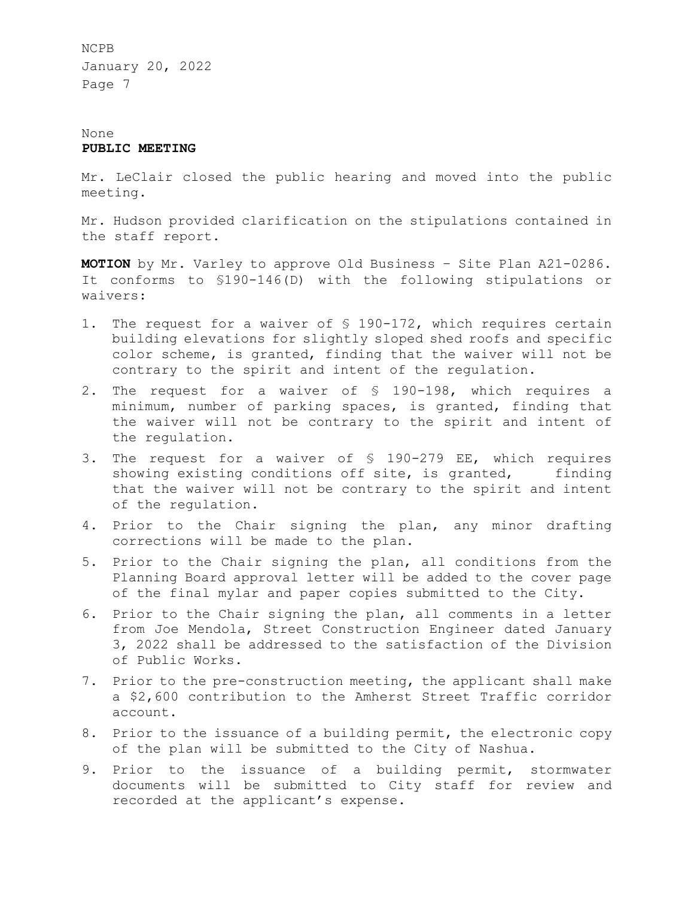# None **PUBLIC MEETING**

Mr. LeClair closed the public hearing and moved into the public meeting.

Mr. Hudson provided clarification on the stipulations contained in the staff report.

**MOTION** by Mr. Varley to approve Old Business – Site Plan A21-0286. It conforms to §190-146(D) with the following stipulations or waivers:

- 1. The request for a waiver of § 190-172, which requires certain building elevations for slightly sloped shed roofs and specific color scheme, is granted, finding that the waiver will not be contrary to the spirit and intent of the regulation.
- 2. The request for a waiver of § 190-198, which requires a minimum, number of parking spaces, is granted, finding that the waiver will not be contrary to the spirit and intent of the regulation.
- 3. The request for a waiver of § 190-279 EE, which requires showing existing conditions off site, is granted, finding that the waiver will not be contrary to the spirit and intent of the regulation.
- 4. Prior to the Chair signing the plan, any minor drafting corrections will be made to the plan.
- 5. Prior to the Chair signing the plan, all conditions from the Planning Board approval letter will be added to the cover page of the final mylar and paper copies submitted to the City.
- 6. Prior to the Chair signing the plan, all comments in a letter from Joe Mendola, Street Construction Engineer dated January 3, 2022 shall be addressed to the satisfaction of the Division of Public Works.
- 7. Prior to the pre-construction meeting, the applicant shall make a \$2,600 contribution to the Amherst Street Traffic corridor account.
- 8. Prior to the issuance of a building permit, the electronic copy of the plan will be submitted to the City of Nashua.
- 9. Prior to the issuance of a building permit, stormwater documents will be submitted to City staff for review and recorded at the applicant's expense.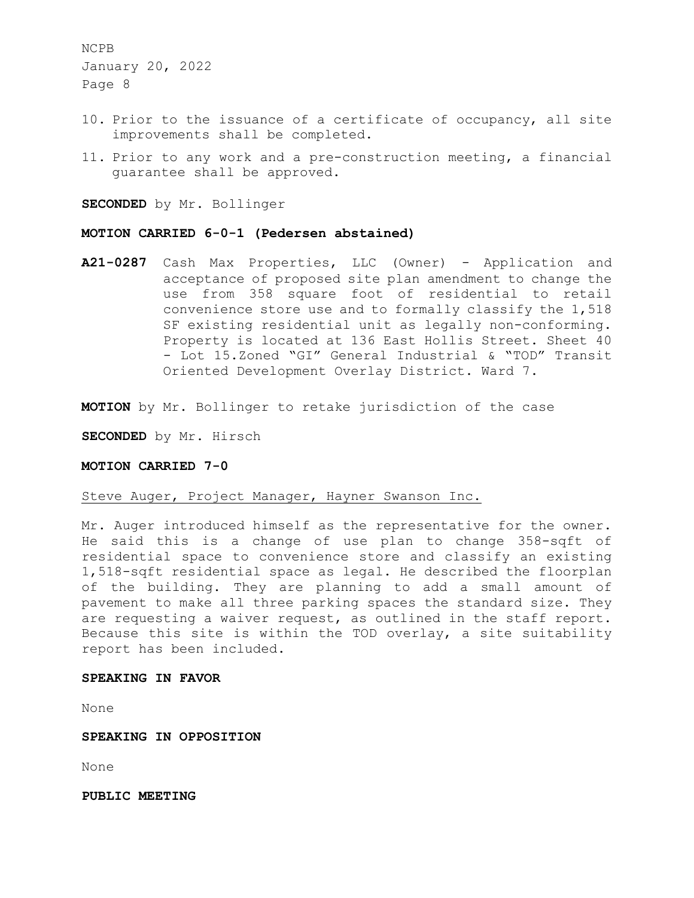- 10. Prior to the issuance of a certificate of occupancy, all site improvements shall be completed.
- 11. Prior to any work and a pre-construction meeting, a financial guarantee shall be approved.

**SECONDED** by Mr. Bollinger

### **MOTION CARRIED 6-0-1 (Pedersen abstained)**

**A21-0287** Cash Max Properties, LLC (Owner) - Application and acceptance of proposed site plan amendment to change the use from 358 square foot of residential to retail convenience store use and to formally classify the 1,518 SF existing residential unit as legally non-conforming. Property is located at 136 East Hollis Street. Sheet 40 - Lot 15.Zoned "GI" General Industrial & "TOD" Transit Oriented Development Overlay District. Ward 7.

**MOTION** by Mr. Bollinger to retake jurisdiction of the case

**SECONDED** by Mr. Hirsch

#### **MOTION CARRIED 7-0**

## Steve Auger, Project Manager, Hayner Swanson Inc.

Mr. Auger introduced himself as the representative for the owner. He said this is a change of use plan to change 358-sqft of residential space to convenience store and classify an existing 1,518-sqft residential space as legal. He described the floorplan of the building. They are planning to add a small amount of pavement to make all three parking spaces the standard size. They are requesting a waiver request, as outlined in the staff report. Because this site is within the TOD overlay, a site suitability report has been included.

## **SPEAKING IN FAVOR**

None

## **SPEAKING IN OPPOSITION**

None

**PUBLIC MEETING**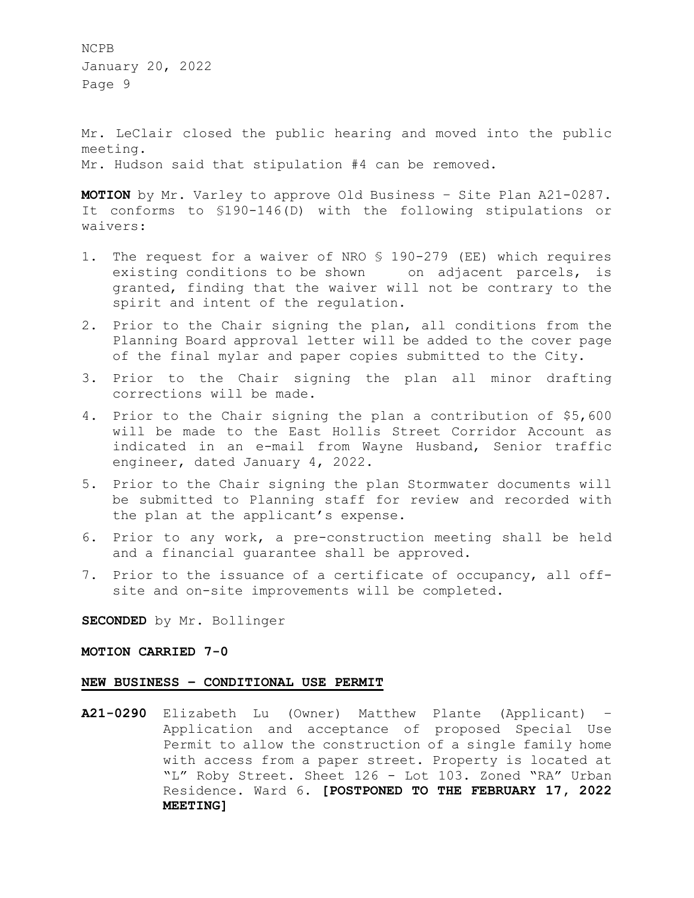Mr. LeClair closed the public hearing and moved into the public meeting. Mr. Hudson said that stipulation #4 can be removed.

**MOTION** by Mr. Varley to approve Old Business – Site Plan A21-0287. It conforms to §190-146(D) with the following stipulations or waivers:

- 1. The request for a waiver of NRO § 190-279 (EE) which requires existing conditions to be shown on adjacent parcels, is granted, finding that the waiver will not be contrary to the spirit and intent of the regulation.
- 2. Prior to the Chair signing the plan, all conditions from the Planning Board approval letter will be added to the cover page of the final mylar and paper copies submitted to the City.
- 3. Prior to the Chair signing the plan all minor drafting corrections will be made.
- 4. Prior to the Chair signing the plan a contribution of \$5,600 will be made to the East Hollis Street Corridor Account as indicated in an e-mail from Wayne Husband, Senior traffic engineer, dated January 4, 2022.
- 5. Prior to the Chair signing the plan Stormwater documents will be submitted to Planning staff for review and recorded with the plan at the applicant's expense.
- 6. Prior to any work, a pre-construction meeting shall be held and a financial guarantee shall be approved.
- 7. Prior to the issuance of a certificate of occupancy, all offsite and on-site improvements will be completed.

**SECONDED** by Mr. Bollinger

**MOTION CARRIED 7-0** 

## **NEW BUSINESS – CONDITIONAL USE PERMIT**

**A21-0290** Elizabeth Lu (Owner) Matthew Plante (Applicant) – Application and acceptance of proposed Special Use Permit to allow the construction of a single family home with access from a paper street. Property is located at "L" Roby Street. Sheet 126 - Lot 103. Zoned "RA" Urban Residence. Ward 6. **[POSTPONED TO THE FEBRUARY 17, 2022 MEETING]**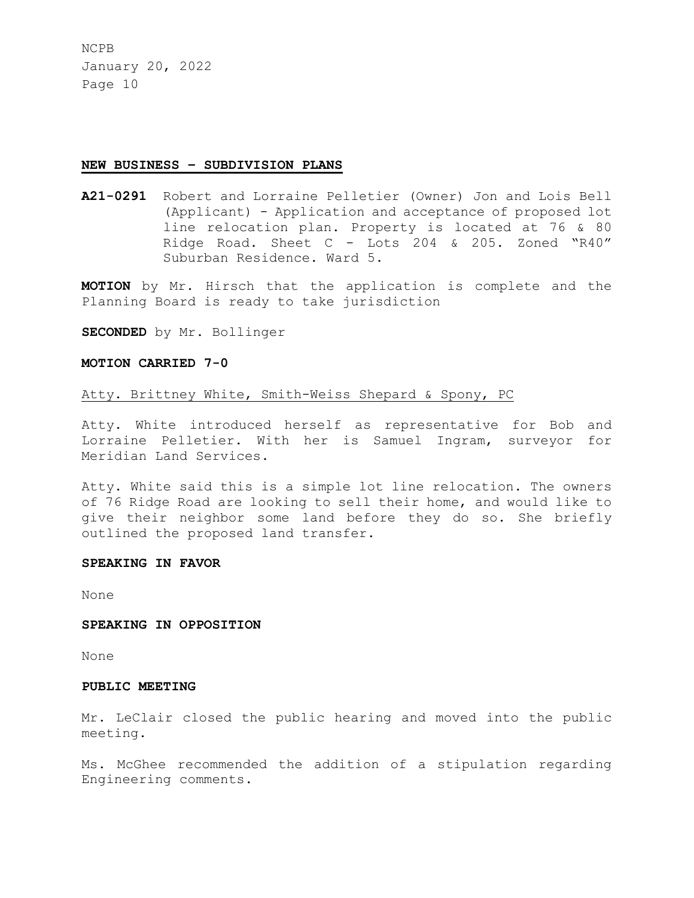#### **NEW BUSINESS – SUBDIVISION PLANS**

**A21-0291** Robert and Lorraine Pelletier (Owner) Jon and Lois Bell (Applicant) - Application and acceptance of proposed lot line relocation plan. Property is located at 76 & 80 Ridge Road. Sheet C - Lots 204 & 205. Zoned "R40" Suburban Residence. Ward 5.

**MOTION** by Mr. Hirsch that the application is complete and the Planning Board is ready to take jurisdiction

**SECONDED** by Mr. Bollinger

## **MOTION CARRIED 7-0**

## Atty. Brittney White, Smith-Weiss Shepard & Spony, PC

Atty. White introduced herself as representative for Bob and Lorraine Pelletier. With her is Samuel Ingram, surveyor for Meridian Land Services.

Atty. White said this is a simple lot line relocation. The owners of 76 Ridge Road are looking to sell their home, and would like to give their neighbor some land before they do so. She briefly outlined the proposed land transfer.

#### **SPEAKING IN FAVOR**

None

### **SPEAKING IN OPPOSITION**

None

# **PUBLIC MEETING**

Mr. LeClair closed the public hearing and moved into the public meeting.

Ms. McGhee recommended the addition of a stipulation regarding Engineering comments.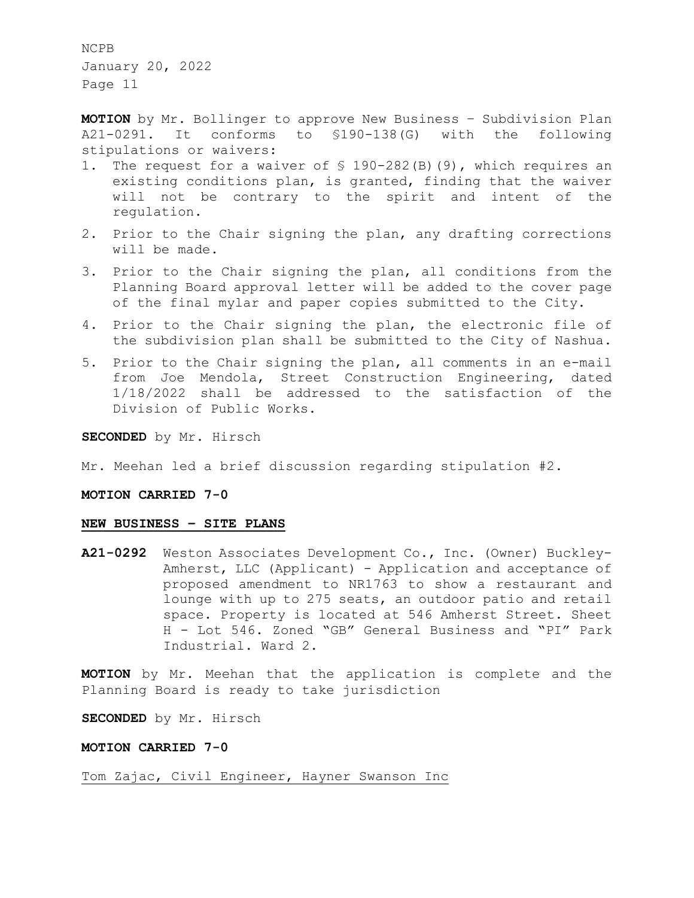**MOTION** by Mr. Bollinger to approve New Business – Subdivision Plan A21-0291. It conforms to §190-138(G) with the following stipulations or waivers:

- 1. The request for a waiver of § 190-282(B)(9), which requires an existing conditions plan, is granted, finding that the waiver will not be contrary to the spirit and intent of the regulation.
- 2. Prior to the Chair signing the plan, any drafting corrections will be made.
- 3. Prior to the Chair signing the plan, all conditions from the Planning Board approval letter will be added to the cover page of the final mylar and paper copies submitted to the City.
- 4. Prior to the Chair signing the plan, the electronic file of the subdivision plan shall be submitted to the City of Nashua.
- 5. Prior to the Chair signing the plan, all comments in an e-mail from Joe Mendola, Street Construction Engineering, dated 1/18/2022 shall be addressed to the satisfaction of the Division of Public Works.

**SECONDED** by Mr. Hirsch

Mr. Meehan led a brief discussion regarding stipulation #2.

# **MOTION CARRIED 7-0**

## **NEW BUSINESS – SITE PLANS**

**A21-0292** Weston Associates Development Co., Inc. (Owner) Buckley-Amherst, LLC (Applicant) - Application and acceptance of proposed amendment to NR1763 to show a restaurant and lounge with up to 275 seats, an outdoor patio and retail space. Property is located at 546 Amherst Street. Sheet H - Lot 546. Zoned "GB" General Business and "PI" Park Industrial. Ward 2.

**MOTION** by Mr. Meehan that the application is complete and the Planning Board is ready to take jurisdiction

**SECONDED** by Mr. Hirsch

### **MOTION CARRIED 7-0**

Tom Zajac, Civil Engineer, Hayner Swanson Inc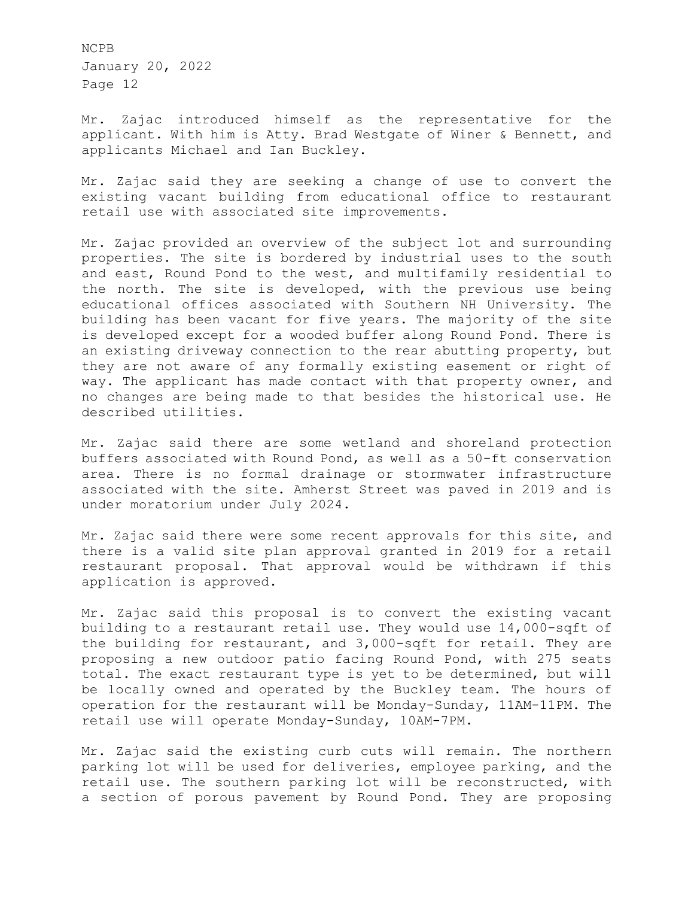Mr. Zajac introduced himself as the representative for the applicant. With him is Atty. Brad Westgate of Winer & Bennett, and applicants Michael and Ian Buckley.

Mr. Zajac said they are seeking a change of use to convert the existing vacant building from educational office to restaurant retail use with associated site improvements.

Mr. Zajac provided an overview of the subject lot and surrounding properties. The site is bordered by industrial uses to the south and east, Round Pond to the west, and multifamily residential to the north. The site is developed, with the previous use being educational offices associated with Southern NH University. The building has been vacant for five years. The majority of the site is developed except for a wooded buffer along Round Pond. There is an existing driveway connection to the rear abutting property, but they are not aware of any formally existing easement or right of way. The applicant has made contact with that property owner, and no changes are being made to that besides the historical use. He described utilities.

Mr. Zajac said there are some wetland and shoreland protection buffers associated with Round Pond, as well as a 50-ft conservation area. There is no formal drainage or stormwater infrastructure associated with the site. Amherst Street was paved in 2019 and is under moratorium under July 2024.

Mr. Zajac said there were some recent approvals for this site, and there is a valid site plan approval granted in 2019 for a retail restaurant proposal. That approval would be withdrawn if this application is approved.

Mr. Zajac said this proposal is to convert the existing vacant building to a restaurant retail use. They would use 14,000-sqft of the building for restaurant, and 3,000-sqft for retail. They are proposing a new outdoor patio facing Round Pond, with 275 seats total. The exact restaurant type is yet to be determined, but will be locally owned and operated by the Buckley team. The hours of operation for the restaurant will be Monday-Sunday, 11AM-11PM. The retail use will operate Monday-Sunday, 10AM-7PM.

Mr. Zajac said the existing curb cuts will remain. The northern parking lot will be used for deliveries, employee parking, and the retail use. The southern parking lot will be reconstructed, with a section of porous pavement by Round Pond. They are proposing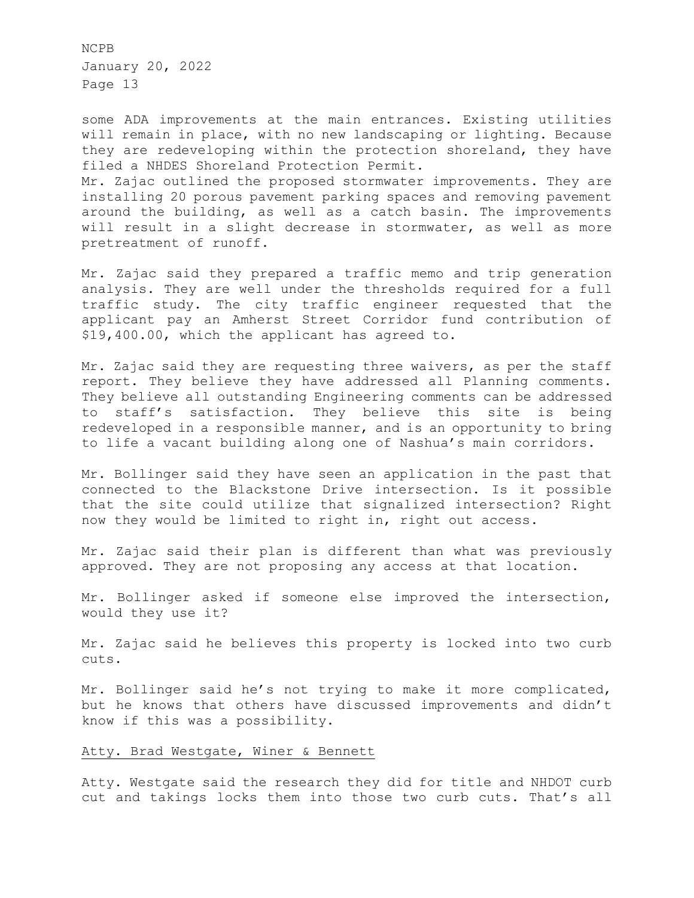some ADA improvements at the main entrances. Existing utilities will remain in place, with no new landscaping or lighting. Because they are redeveloping within the protection shoreland, they have filed a NHDES Shoreland Protection Permit. Mr. Zajac outlined the proposed stormwater improvements. They are installing 20 porous pavement parking spaces and removing pavement around the building, as well as a catch basin. The improvements will result in a slight decrease in stormwater, as well as more pretreatment of runoff.

Mr. Zajac said they prepared a traffic memo and trip generation analysis. They are well under the thresholds required for a full traffic study. The city traffic engineer requested that the applicant pay an Amherst Street Corridor fund contribution of \$19,400.00, which the applicant has agreed to.

Mr. Zajac said they are requesting three waivers, as per the staff report. They believe they have addressed all Planning comments. They believe all outstanding Engineering comments can be addressed to staff's satisfaction. They believe this site is being redeveloped in a responsible manner, and is an opportunity to bring to life a vacant building along one of Nashua's main corridors.

Mr. Bollinger said they have seen an application in the past that connected to the Blackstone Drive intersection. Is it possible that the site could utilize that signalized intersection? Right now they would be limited to right in, right out access.

Mr. Zajac said their plan is different than what was previously approved. They are not proposing any access at that location.

Mr. Bollinger asked if someone else improved the intersection, would they use it?

Mr. Zajac said he believes this property is locked into two curb cuts.

Mr. Bollinger said he's not trying to make it more complicated, but he knows that others have discussed improvements and didn't know if this was a possibility.

## Atty. Brad Westgate, Winer & Bennett

Atty. Westgate said the research they did for title and NHDOT curb cut and takings locks them into those two curb cuts. That's all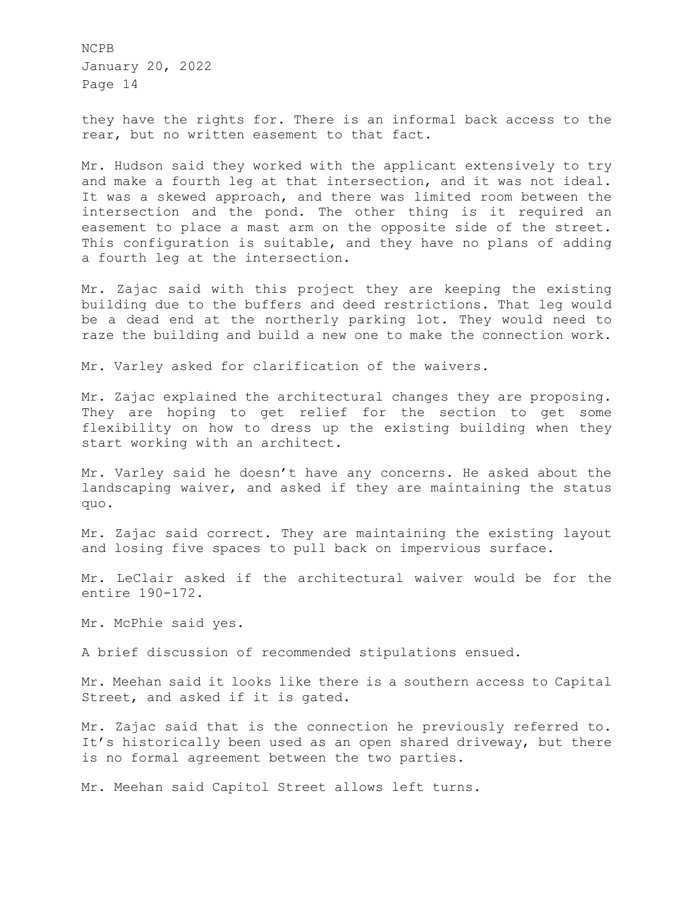they have the rights for. There is an informal back access to the rear, but no written easement to that fact.

Mr. Hudson said they worked with the applicant extensively to try and make a fourth leg at that intersection, and it was not ideal. It was a skewed approach, and there was limited room between the intersection and the pond. The other thing is it required an easement to place a mast arm on the opposite side of the street. This configuration is suitable, and they have no plans of adding a fourth leg at the intersection.

Mr. Zajac said with this project they are keeping the existing building due to the buffers and deed restrictions. That leg would be a dead end at the northerly parking lot. They would need to raze the building and build a new one to make the connection work.

Mr. Varley asked for clarification of the waivers.

Mr. Zajac explained the architectural changes they are proposing. They are hoping to get relief for the section to get some flexibility on how to dress up the existing building when they start working with an architect.

Mr. Varley said he doesn't have any concerns. He asked about the landscaping waiver, and asked if they are maintaining the status quo.

Mr. Zajac said correct. They are maintaining the existing layout and losing five spaces to pull back on impervious surface.

Mr. LeClair asked if the architectural waiver would be for the entire 190-172.

Mr. McPhie said yes.

A brief discussion of recommended stipulations ensued.

Mr. Meehan said it looks like there is a southern access to Capital Street, and asked if it is gated.

Mr. Zajac said that is the connection he previously referred to. It's historically been used as an open shared driveway, but there is no formal agreement between the two parties.

Mr. Meehan said Capitol Street allows left turns.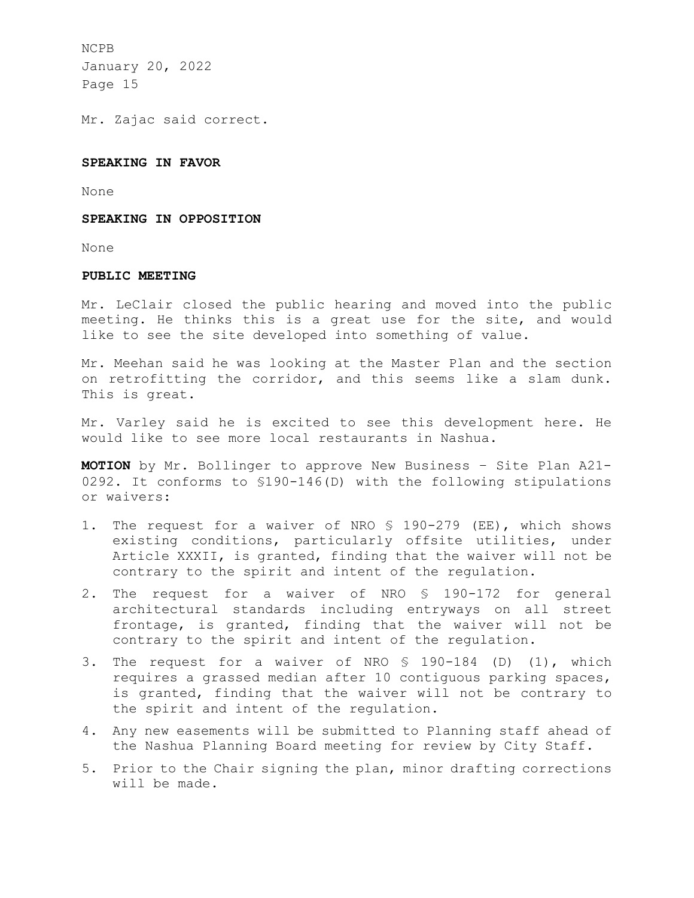Mr. Zajac said correct.

## **SPEAKING IN FAVOR**

None

### **SPEAKING IN OPPOSITION**

None

# **PUBLIC MEETING**

Mr. LeClair closed the public hearing and moved into the public meeting. He thinks this is a great use for the site, and would like to see the site developed into something of value.

Mr. Meehan said he was looking at the Master Plan and the section on retrofitting the corridor, and this seems like a slam dunk. This is great.

Mr. Varley said he is excited to see this development here. He would like to see more local restaurants in Nashua.

**MOTION** by Mr. Bollinger to approve New Business – Site Plan A21- 0292. It conforms to §190-146(D) with the following stipulations or waivers:

- 1. The request for a waiver of NRO § 190-279 (EE), which shows existing conditions, particularly offsite utilities, under Article XXXII, is granted, finding that the waiver will not be contrary to the spirit and intent of the regulation.
- 2. The request for a waiver of NRO § 190-172 for general architectural standards including entryways on all street frontage, is granted, finding that the waiver will not be contrary to the spirit and intent of the regulation.
- 3. The request for a waiver of NRO § 190-184 (D) (1), which requires a grassed median after 10 contiguous parking spaces, is granted, finding that the waiver will not be contrary to the spirit and intent of the regulation.
- 4. Any new easements will be submitted to Planning staff ahead of the Nashua Planning Board meeting for review by City Staff.
- 5. Prior to the Chair signing the plan, minor drafting corrections will be made.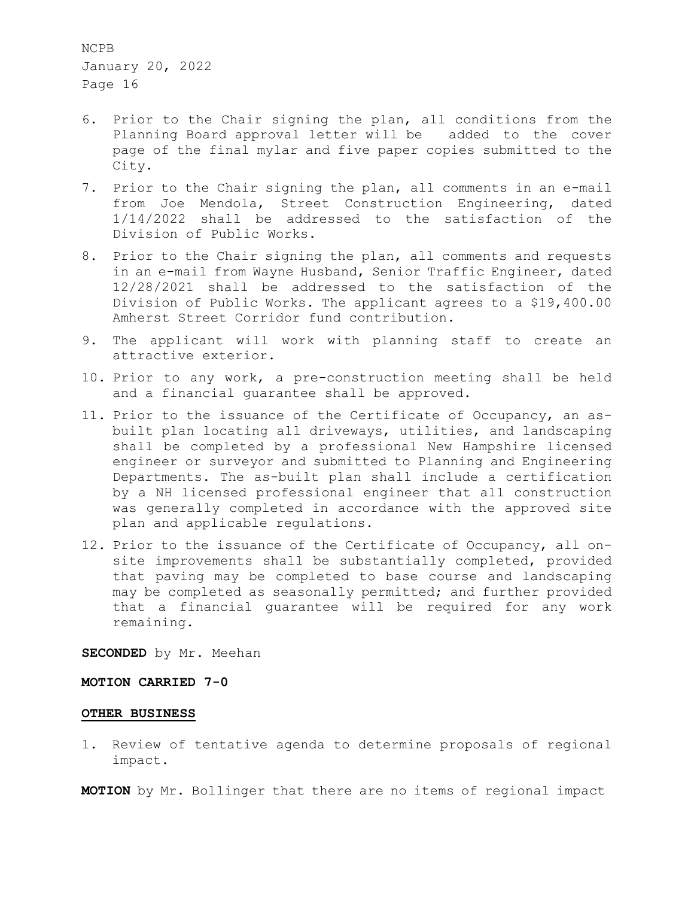- 6. Prior to the Chair signing the plan, all conditions from the Planning Board approval letter will be added to the cover page of the final mylar and five paper copies submitted to the City.
- 7. Prior to the Chair signing the plan, all comments in an e-mail from Joe Mendola, Street Construction Engineering, dated 1/14/2022 shall be addressed to the satisfaction of the Division of Public Works.
- 8. Prior to the Chair signing the plan, all comments and requests in an e-mail from Wayne Husband, Senior Traffic Engineer, dated 12/28/2021 shall be addressed to the satisfaction of the Division of Public Works. The applicant agrees to a \$19,400.00 Amherst Street Corridor fund contribution.
- 9. The applicant will work with planning staff to create an attractive exterior.
- 10. Prior to any work, a pre-construction meeting shall be held and a financial guarantee shall be approved.
- 11. Prior to the issuance of the Certificate of Occupancy, an asbuilt plan locating all driveways, utilities, and landscaping shall be completed by a professional New Hampshire licensed engineer or surveyor and submitted to Planning and Engineering Departments. The as-built plan shall include a certification by a NH licensed professional engineer that all construction was generally completed in accordance with the approved site plan and applicable regulations.
- 12. Prior to the issuance of the Certificate of Occupancy, all onsite improvements shall be substantially completed, provided that paving may be completed to base course and landscaping may be completed as seasonally permitted; and further provided that a financial guarantee will be required for any work remaining.

**SECONDED** by Mr. Meehan

## **MOTION CARRIED 7-0**

## **OTHER BUSINESS**

1. Review of tentative agenda to determine proposals of regional impact.

**MOTION** by Mr. Bollinger that there are no items of regional impact